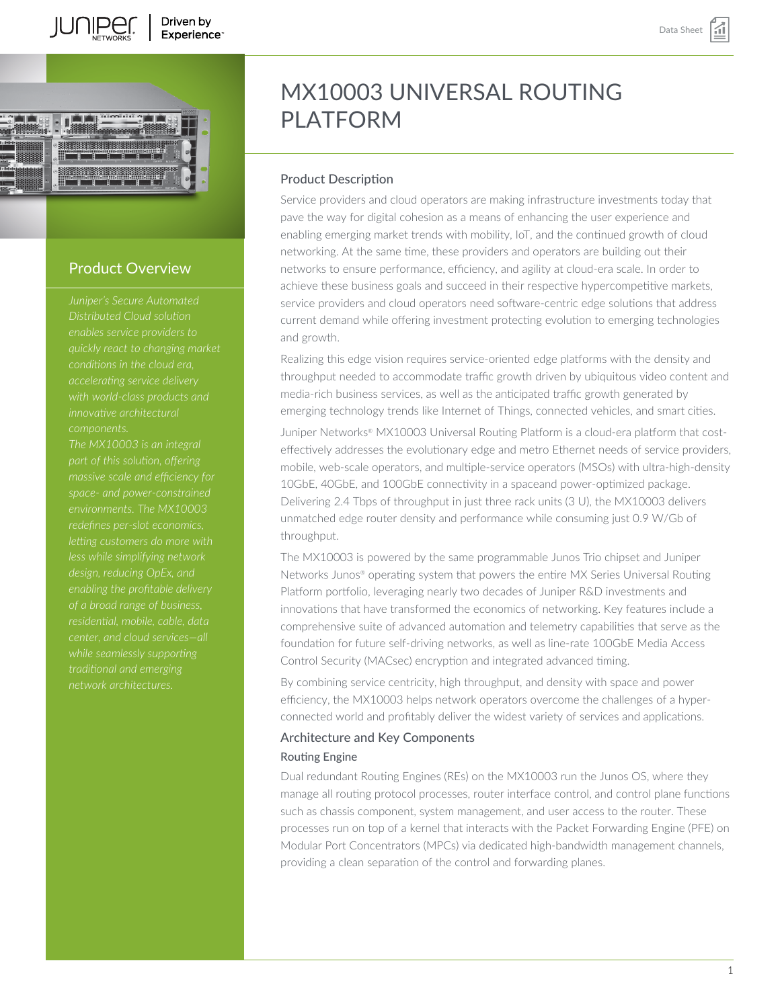

# Product Overview

*Juniper's Secure Automated Distributed Cloud solution enables service providers to quickly react to changing market accelerating service delivery with world-class products and innovative architectural components.*

*The MX10003 is an integral massive scale and efficiency for space- and power-constrained environments. The MX10003 redefines per-slot economics, letting customers do more with of a broad range of business, residential, mobile, cable, data center, and cloud services—all traditional and emerging network architectures.*

# MX10003 UNIVERSAL ROUTING PI ATFORM

# Product Description

Service providers and cloud operators are making infrastructure investments today that pave the way for digital cohesion as a means of enhancing the user experience and enabling emerging market trends with mobility, IoT, and the continued growth of cloud networking. At the same time, these providers and operators are building out their networks to ensure performance, efficiency, and agility at cloud-era scale. In order to achieve these business goals and succeed in their respective hypercompetitive markets, service providers and cloud operators need software-centric edge solutions that address current demand while offering investment protecting evolution to emerging technologies and growth.

Realizing this edge vision requires service-oriented edge platforms with the density and throughput needed to accommodate traffic growth driven by ubiquitous video content and media-rich business services, as well as the anticipated traffic growth generated by emerging technology trends like Internet of Things, connected vehicles, and smart cities.

Juniper Networks® MX10003 Universal Routing Platform is a cloud-era platform that costeffectively addresses the evolutionary edge and metro Ethernet needs of service providers, mobile, web-scale operators, and multiple-service operators (MSOs) with ultra-high-density 10GbE, 40GbE, and 100GbE connectivity in a spaceand power-optimized package. Delivering 2.4 Tbps of throughput in just three rack units (3 U), the MX10003 delivers unmatched edge router density and performance while consuming just 0.9 W/Gb of throughput.

The MX10003 is powered by the same programmable Junos Trio chipset and Juniper Networks Junos® operating system that powers the entire MX Series Universal Routing Platform portfolio, leveraging nearly two decades of Juniper R&D investments and innovations that have transformed the economics of networking. Key features include a comprehensive suite of advanced automation and telemetry capabilities that serve as the foundation for future self-driving networks, as well as line-rate 100GbE Media Access Control Security (MACsec) encryption and integrated advanced timing.

By combining service centricity, high throughput, and density with space and power efficiency, the MX10003 helps network operators overcome the challenges of a hyperconnected world and profitably deliver the widest variety of services and applications.

# Architecture and Key Components

# Routing Engine

Dual redundant Routing Engines (REs) on the MX10003 run the Junos OS, where they manage all routing protocol processes, router interface control, and control plane functions such as chassis component, system management, and user access to the router. These processes run on top of a kernel that interacts with the Packet Forwarding Engine (PFE) on Modular Port Concentrators (MPCs) via dedicated high-bandwidth management channels, providing a clean separation of the control and forwarding planes.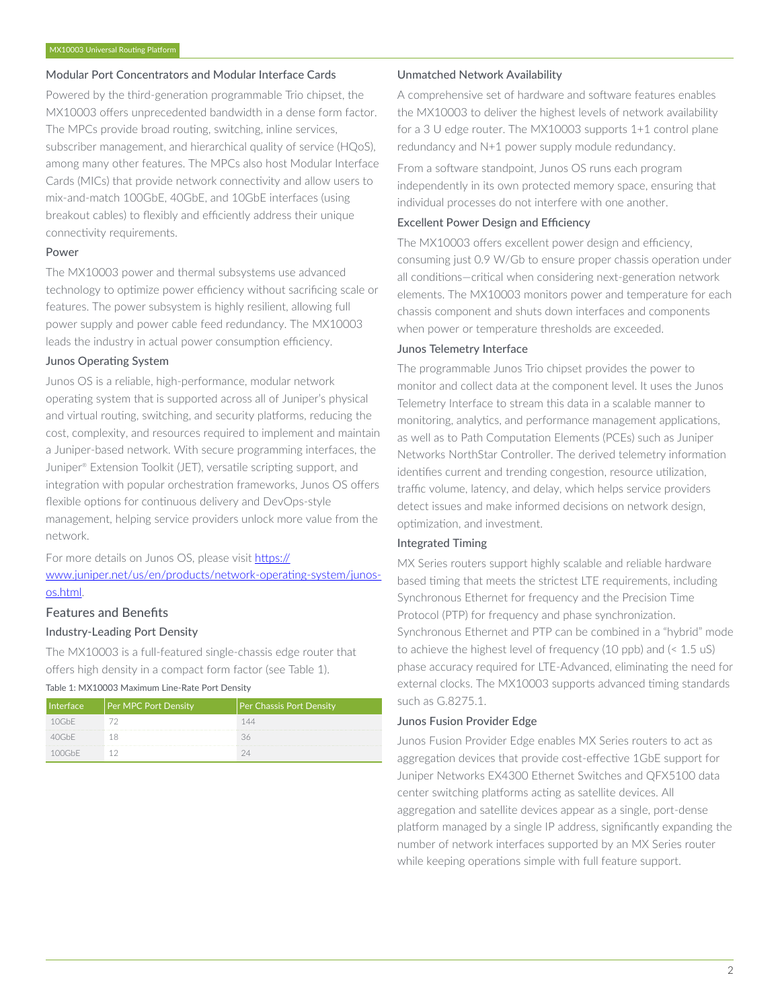#### Modular Port Concentrators and Modular Interface Cards

Powered by the third-generation programmable Trio chipset, the MX10003 offers unprecedented bandwidth in a dense form factor. The MPCs provide broad routing, switching, inline services, subscriber management, and hierarchical quality of service (HQoS), among many other features. The MPCs also host Modular Interface Cards (MICs) that provide network connectivity and allow users to mix-and-match 100GbE, 40GbE, and 10GbE interfaces (using breakout cables) to flexibly and efficiently address their unique connectivity requirements.

#### Power

The MX10003 power and thermal subsystems use advanced technology to optimize power efficiency without sacrificing scale or features. The power subsystem is highly resilient, allowing full power supply and power cable feed redundancy. The MX10003 leads the industry in actual power consumption efficiency.

#### Junos Operating System

Junos OS is a reliable, high-performance, modular network operating system that is supported across all of Juniper's physical and virtual routing, switching, and security platforms, reducing the cost, complexity, and resources required to implement and maintain a Juniper-based network. With secure programming interfaces, the Juniper® Extension Toolkit (JET), versatile scripting support, and integration with popular orchestration frameworks, Junos OS offers flexible options for continuous delivery and DevOps-style management, helping service providers unlock more value from the network.

For more details on Junos OS, please visit [https://](https://www.juniper.net/us/en/products/network-operating-system/junos-os.html) [www.juniper.net/us/en/products/network-operating-system/junos](https://www.juniper.net/us/en/products/network-operating-system/junos-os.html)[os.html](https://www.juniper.net/us/en/products/network-operating-system/junos-os.html).

# Features and Benefits Industry-Leading Port Density

The MX10003 is a full-featured single-chassis edge router that offers high density in a compact form factor (see Table 1).

Table 1: MX10003 Maximum Line-Rate Port Density

| Interface | <b>Per MPC Port Density</b> | Per Chassis Port Density |
|-----------|-----------------------------|--------------------------|
| 10GhF     |                             | 144                      |
| 40GhF     | ж                           |                          |
| 100GhF    |                             |                          |

#### Unmatched Network Availability

A comprehensive set of hardware and software features enables the MX10003 to deliver the highest levels of network availability for a 3 U edge router. The MX10003 supports 1+1 control plane redundancy and N+1 power supply module redundancy.

From a software standpoint, Junos OS runs each program independently in its own protected memory space, ensuring that individual processes do not interfere with one another.

# Excellent Power Design and Efficiency

The MX10003 offers excellent power design and efficiency, consuming just 0.9 W/Gb to ensure proper chassis operation under all conditions—critical when considering next-generation network elements. The MX10003 monitors power and temperature for each chassis component and shuts down interfaces and components when power or temperature thresholds are exceeded.

#### Junos Telemetry Interface

The programmable Junos Trio chipset provides the power to monitor and collect data at the component level. It uses the Junos Telemetry Interface to stream this data in a scalable manner to monitoring, analytics, and performance management applications, as well as to Path Computation Elements (PCEs) such as Juniper Networks NorthStar Controller. The derived telemetry information identifies current and trending congestion, resource utilization, traffic volume, latency, and delay, which helps service providers detect issues and make informed decisions on network design, optimization, and investment.

# Integrated Timing

MX Series routers support highly scalable and reliable hardware based timing that meets the strictest LTE requirements, including Synchronous Ethernet for frequency and the Precision Time Protocol (PTP) for frequency and phase synchronization. Synchronous Ethernet and PTP can be combined in a "hybrid" mode to achieve the highest level of frequency (10 ppb) and (< 1.5 uS) phase accuracy required for LTE-Advanced, eliminating the need for external clocks. The MX10003 supports advanced timing standards such as G.8275.1.

# Junos Fusion Provider Edge

Junos Fusion Provider Edge enables MX Series routers to act as aggregation devices that provide cost-effective 1GbE support for Juniper Networks EX4300 Ethernet Switches and QFX5100 data center switching platforms acting as satellite devices. All aggregation and satellite devices appear as a single, port-dense platform managed by a single IP address, significantly expanding the number of network interfaces supported by an MX Series router while keeping operations simple with full feature support.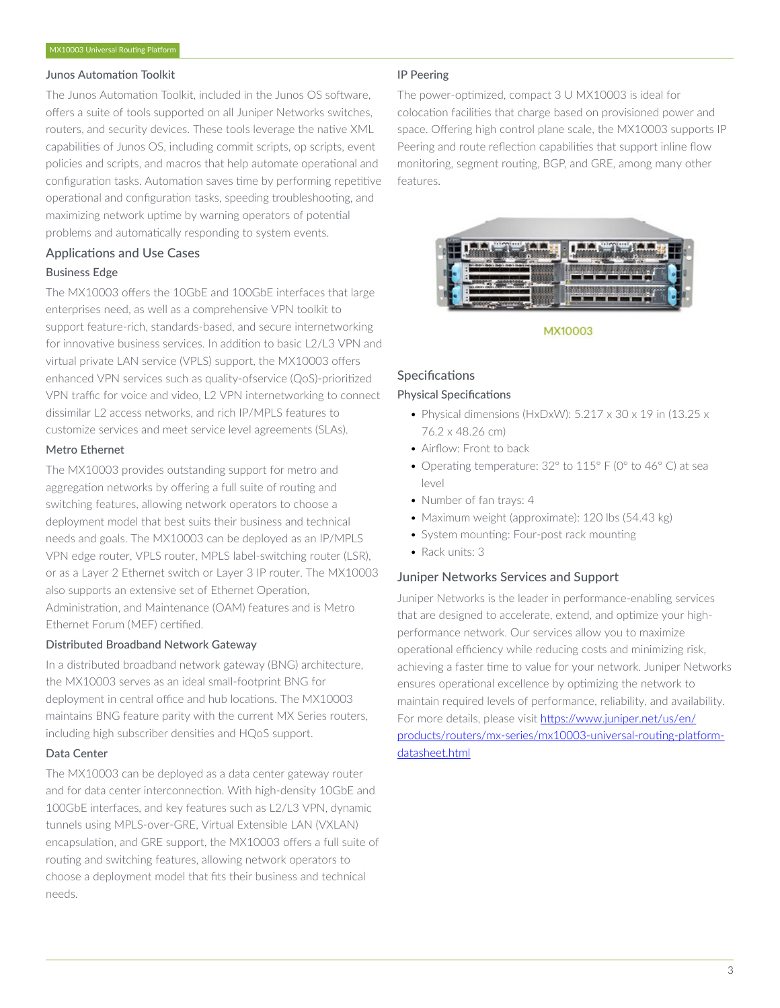#### Junos Automation Toolkit

The Junos Automation Toolkit, included in the Junos OS software, offers a suite of tools supported on all Juniper Networks switches, routers, and security devices. These tools leverage the native XML capabilities of Junos OS, including commit scripts, op scripts, event policies and scripts, and macros that help automate operational and configuration tasks. Automation saves time by performing repetitive operational and configuration tasks, speeding troubleshooting, and maximizing network uptime by warning operators of potential problems and automatically responding to system events.

# Applications and Use Cases

# Business Edge

The MX10003 offers the 10GbE and 100GbE interfaces that large enterprises need, as well as a comprehensive VPN toolkit to support feature-rich, standards-based, and secure internetworking for innovative business services. In addition to basic L2/L3 VPN and virtual private LAN service (VPLS) support, the MX10003 offers enhanced VPN services such as quality-ofservice (QoS)-prioritized VPN traffic for voice and video, L2 VPN internetworking to connect dissimilar L2 access networks, and rich IP/MPLS features to customize services and meet service level agreements (SLAs).

#### Metro Ethernet

The MX10003 provides outstanding support for metro and aggregation networks by offering a full suite of routing and switching features, allowing network operators to choose a deployment model that best suits their business and technical needs and goals. The MX10003 can be deployed as an IP/MPLS VPN edge router, VPLS router, MPLS label-switching router (LSR), or as a Layer 2 Ethernet switch or Layer 3 IP router. The MX10003 also supports an extensive set of Ethernet Operation, Administration, and Maintenance (OAM) features and is Metro Ethernet Forum (MEF) certified.

# Distributed Broadband Network Gateway

In a distributed broadband network gateway (BNG) architecture, the MX10003 serves as an ideal small-footprint BNG for deployment in central office and hub locations. The MX10003 maintains BNG feature parity with the current MX Series routers, including high subscriber densities and HQoS support.

# Data Center

The MX10003 can be deployed as a data center gateway router and for data center interconnection. With high-density 10GbE and 100GbE interfaces, and key features such as L2/L3 VPN, dynamic tunnels using MPLS-over-GRE, Virtual Extensible LAN (VXLAN) encapsulation, and GRE support, the MX10003 offers a full suite of routing and switching features, allowing network operators to choose a deployment model that fits their business and technical needs.

# IP Peering

The power-optimized, compact 3 U MX10003 is ideal for colocation facilities that charge based on provisioned power and space. Offering high control plane scale, the MX10003 supports IP Peering and route reflection capabilities that support inline flow monitoring, segment routing, BGP, and GRE, among many other features.



MX10003

# **Specifications**

#### Physical Specifications

- Physical dimensions (HxDxW): 5.217 x 30 x 19 in (13.25 x 76.2 x 48.26 cm)
- Airflow: Front to back
- Operating temperature: 32° to 115° F (0° to 46° C) at sea level
- Number of fan trays: 4
- Maximum weight (approximate): 120 lbs (54.43 kg)
- System mounting: Four-post rack mounting
- Rack units: 3

# Juniper Networks Services and Support

Juniper Networks is the leader in performance-enabling services that are designed to accelerate, extend, and optimize your highperformance network. Our services allow you to maximize operational efficiency while reducing costs and minimizing risk, achieving a faster time to value for your network. Juniper Networks ensures operational excellence by optimizing the network to maintain required levels of performance, reliability, and availability. For more details, please visit [https://www.juniper.net/us/en/](https://www.juniper.net/us/en/products/routers/mx-series/mx10003-universal-routing-platform-datasheet.html) [products/routers/mx-series/mx10003-universal-routing-platform](https://www.juniper.net/us/en/products/routers/mx-series/mx10003-universal-routing-platform-datasheet.html)[datasheet.html](https://www.juniper.net/us/en/products/routers/mx-series/mx10003-universal-routing-platform-datasheet.html)